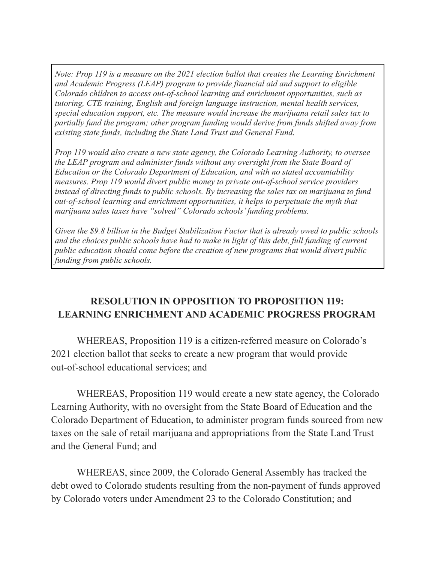*Note: Prop 119 is a measure on the 2021 election ballot that creates the Learning Enrichment and Academic Progress (LEAP) program to provide financial aid and support to eligible Colorado children to access out-of-school learning and enrichment opportunities, such as tutoring, CTE training, English and foreign language instruction, mental health services, special education support, etc. The measure would increase the marijuana retail sales tax to partially fund the program; other program funding would derive from funds shifted away from existing state funds, including the State Land Trust and General Fund.*

*Prop 119 would also create a new state agency, the Colorado Learning Authority, to oversee the LEAP program and administer funds without any oversight from the State Board of Education or the Colorado Department of Education, and with no stated accountability measures. Prop 119 would divert public money to private out-of-school service providers instead of directing funds to public schools. By increasing the sales tax on marijuana to fund out-of-school learning and enrichment opportunities, it helps to perpetuate the myth that marijuana sales taxes have "solved" Colorado schools' funding problems.*

*Given the \$9.8 billion in the Budget Stabilization Factor that is already owed to public schools and the choices public schools have had to make in light of this debt, full funding of current public education should come before the creation of new programs that would divert public funding from public schools.*

## **RESOLUTION IN OPPOSITION TO PROPOSITION 119: LEARNING ENRICHMENT AND ACADEMIC PROGRESS PROGRAM**

WHEREAS, Proposition 119 is a citizen-referred measure on Colorado's 2021 election ballot that seeks to create a new program that would provide out-of-school educational services; and

WHEREAS, Proposition 119 would create a new state agency, the Colorado Learning Authority, with no oversight from the State Board of Education and the Colorado Department of Education, to administer program funds sourced from new taxes on the sale of retail marijuana and appropriations from the State Land Trust and the General Fund; and

WHEREAS, since 2009, the Colorado General Assembly has tracked the debt owed to Colorado students resulting from the non-payment of funds approved by Colorado voters under Amendment 23 to the Colorado Constitution; and